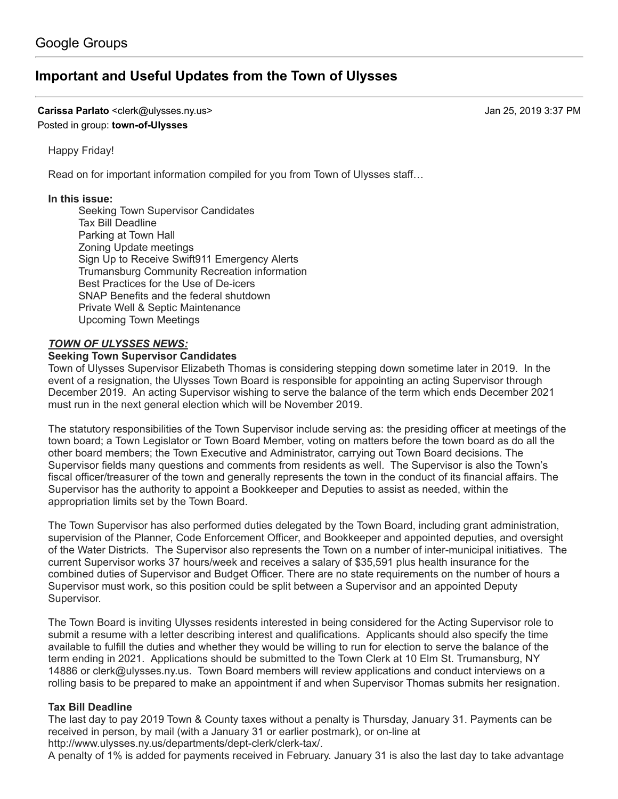# **[Important and Useful Updates from the Town of Ulysses](https://groups.google.com/d/topic/town-of-ulysses/7xJd0_iEiU8)**

**Carissa Parlato** <clerk@ulysses.ny.us> Jan 25, 2019 3:37 PM Posted in group: **[town-of-Ulysses](https://groups.google.com/d/forum/town-of-ulysses)**

Happy Friday!

Read on for important information compiled for you from Town of Ulysses staff…

### **In this issue:**

Seeking Town Supervisor Candidates Tax Bill Deadline Parking at Town Hall Zoning Update meetings Sign Up to Receive Swift911 Emergency Alerts Trumansburg Community Recreation information Best Practices for the Use of De-icers SNAP Benefits and the federal shutdown Private Well & Septic Maintenance Upcoming Town Meetings

### *TOWN OF ULYSSES NEWS:*

### **Seeking Town Supervisor Candidates**

Town of Ulysses Supervisor Elizabeth Thomas is considering stepping down sometime later in 2019. In the event of a resignation, the Ulysses Town Board is responsible for appointing an acting Supervisor through December 2019. An acting Supervisor wishing to serve the balance of the term which ends December 2021 must run in the next general election which will be November 2019.

The statutory responsibilities of the Town Supervisor include serving as: the presiding officer at meetings of the town board; a Town Legislator or Town Board Member, voting on matters before the town board as do all the other board members; the Town Executive and Administrator, carrying out Town Board decisions. The Supervisor fields many questions and comments from residents as well. The Supervisor is also the Town's fiscal officer/treasurer of the town and generally represents the town in the conduct of its financial affairs. The Supervisor has the authority to appoint a Bookkeeper and Deputies to assist as needed, within the appropriation limits set by the Town Board.

The Town Supervisor has also performed duties delegated by the Town Board, including grant administration, supervision of the Planner, Code Enforcement Officer, and Bookkeeper and appointed deputies, and oversight of the Water Districts. The Supervisor also represents the Town on a number of inter-municipal initiatives. The current Supervisor works 37 hours/week and receives a salary of \$35,591 plus health insurance for the combined duties of Supervisor and Budget Officer. There are no state requirements on the number of hours a Supervisor must work, so this position could be split between a Supervisor and an appointed Deputy Supervisor.

The Town Board is inviting Ulysses residents interested in being considered for the Acting Supervisor role to submit a resume with a letter describing interest and qualifications. Applicants should also specify the time available to fulfill the duties and whether they would be willing to run for election to serve the balance of the term ending in 2021. Applications should be submitted to the Town Clerk at 10 Elm St. Trumansburg, NY 14886 or [clerk@ulysses.ny.us](mailto:clerk@ulysses.ny.us). Town Board members will review applications and conduct interviews on a rolling basis to be prepared to make an appointment if and when Supervisor Thomas submits her resignation.

### **Tax Bill Deadline**

The last day to pay 2019 Town & County taxes without a penalty is Thursday, January 31. Payments can be received in person, by mail (with a January 31 or earlier postmark), or on-line at <http://www.ulysses.ny.us/departments/dept-clerk/clerk-tax/>.

A penalty of 1% is added for payments received in February. January 31 is also the last day to take advantage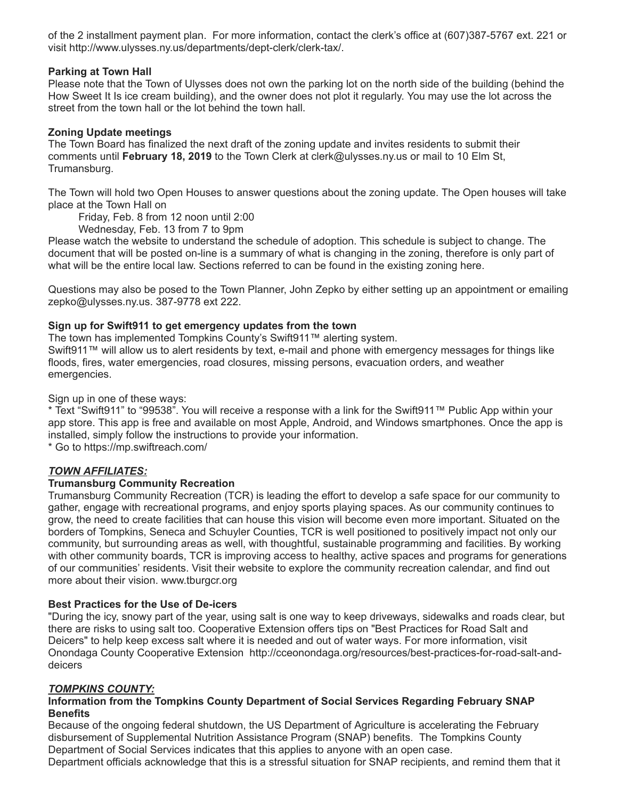of the 2 installment payment plan. For more information, contact the clerk's office at (607)387-5767 ext. 221 or visit <http://www.ulysses.ny.us/departments/dept-clerk/clerk-tax/>.

### **Parking at Town Hall**

Please note that the Town of Ulysses does not own the parking lot on the north side of the building (behind the How Sweet It Is ice cream building), and the owner does not plot it regularly. You may use the lot across the street from the town hall or the lot behind the town hall.

### **Zoning Update meetings**

The Town Board has finalized the next draft of the zoning update and invites residents to submit their comments until **February 18, 2019** to the Town Clerk at [clerk@ulysses.ny.us](mailto:clerk@ulysses.ny.us) or mail to 10 Elm St, Trumansburg.

The Town will hold two Open Houses to answer questions about the zoning update. The Open houses will take place at the Town Hall on

Friday, Feb. 8 from 12 noon until 2:00

Wednesday, Feb. 13 from 7 to 9pm

Please watch the [website](http://www.ulysses.ny.us/boards/zoning-update/) to understand the schedule of adoption. This schedule is subject to change. The document that will be posted on-line is a summary of what is changing in the zoning, therefore is only part of what will be the entire local law. Sections referred to can be found in the existing zoning [here.](https://www.ecode360.com/28859962)

Questions may also be posed to the Town Planner, John Zepko by either setting up an appointment or emailing [zepko@ulysses.ny.us.](mailto:zepko@ulysses.ny.us) 387-9778 ext 222.

### **Sign up for Swift911 to get emergency updates from the town**

The town has implemented Tompkins County's Swift911™ alerting system.

Swift911™ will allow us to alert residents by text, e-mail and phone with emergency messages for things like floods, fires, water emergencies, road closures, missing persons, evacuation orders, and weather emergencies.

Sign up in one of these ways:

\* Text "Swift911" to "99538". You will receive a response with a link for the Swift911™ Public App within your app store. This app is free and available on most Apple, Android, and Windows smartphones. Once the app is installed, simply follow the instructions to provide your information.

\* Go to<https://mp.swiftreach.com/>

# *TOWN AFFILIATES:*

### **Trumansburg Community Recreation**

Trumansburg Community Recreation (TCR) is leading the effort to develop a safe space for our community to gather, engage with recreational programs, and enjoy sports playing spaces. As our community continues to grow, the need to create facilities that can house this vision will become even more important. Situated on the borders of Tompkins, Seneca and Schuyler Counties, TCR is well positioned to positively impact not only our community, but surrounding areas as well, with thoughtful, sustainable programming and facilities. By working with other community boards, TCR is improving access to healthy, active spaces and programs for generations of our communities' residents. Visit their website to explore the community recreation calendar, and find out more about their vision. [www.tburgcr.org](http://www.tburgcr.org/)

### **Best Practices for the Use of De-icers**

"During the icy, snowy part of the year, using salt is one way to keep driveways, sidewalks and roads clear, but there are risks to using salt too. Cooperative Extension offers tips on "Best Practices for Road Salt and Deicers" to help keep excess salt where it is needed and out of water ways. For more information, visit [Onondaga County Cooperative Extension http://cceonondaga.org/resources/best-practices-for-road-salt-and](http://cceonondaga.org/resources/best-practices-for-road-salt-and-deicers.)deicers

### *TOMPKINS COUNTY:*

## **Information from the Tompkins County Department of Social Services Regarding February SNAP Benefits**

Because of the ongoing federal shutdown, the US Department of Agriculture is accelerating the February disbursement of Supplemental Nutrition Assistance Program (SNAP) benefits. The Tompkins County Department of Social Services indicates that this applies to anyone with an open case.

Department officials acknowledge that this is a stressful situation for SNAP recipients, and remind them that it